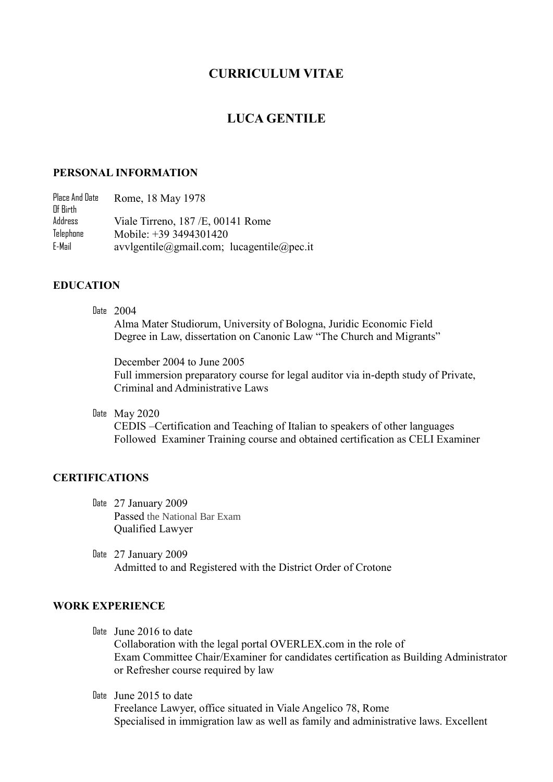# **CURRICULUM VITAE**

# **LUCA GENTILE**

#### **PERSONAL INFORMATION**

Place And Date Of Birth Rome, 18 May 1978 Address Viale Tirreno, 187 /E, 00141 Rome Telephone Mobile:  $+39\overline{)3494301420}$ E-Mail [avvlgentile@gmail.com;](mailto:avvlgentile@gmail.com) lucagentile@pec.it

### **EDUCATION**

Date 2004

Alma Mater Studiorum, University of Bologna, Juridic Economic Field Degree in Law, dissertation on Canonic Law "The Church and Migrants"

December 2004 to June 2005 Full immersion preparatory course for legal auditor via in-depth study of Private, Criminal and Administrative Laws

Date May 2020

CEDIS –Certification and Teaching of Italian to speakers of other languages Followed Examiner Training course and obtained certification as CELI Examiner

#### **CERTIFICATIONS**

- Date 27 January 2009 Passed the National Bar Exam Qualified Lawyer
- Date 27 January 2009 Admitted to and Registered with the District Order of Crotone

### **WORK EXPERIENCE**

Date June 2016 to date

Collaboration with the legal portal OVERLEX.com in the role of Exam Committee Chair/Examiner for candidates certification as Building Administrator or Refresher course required by law

Date June 2015 to date

Freelance Lawyer, office situated in Viale Angelico 78, Rome Specialised in immigration law as well as family and administrative laws. Excellent